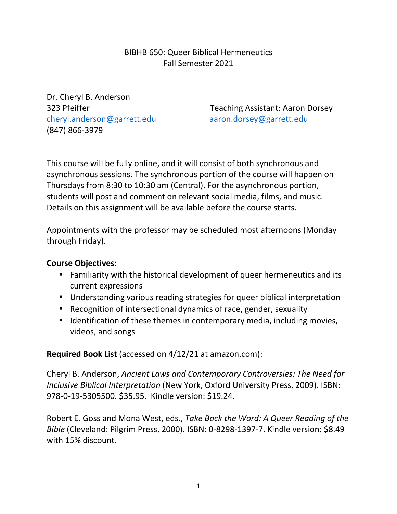## BIBHB 650: Queer Biblical Hermeneutics Fall Semester 2021

Dr. Cheryl B. Anderson cheryl.anderson@garrett.edu aaron.dorsey@garrett.edu (847) 866-3979

323 Pfeiffer Teaching Assistant: Aaron Dorsey

This course will be fully online, and it will consist of both synchronous and asynchronous sessions. The synchronous portion of the course will happen on Thursdays from 8:30 to 10:30 am (Central). For the asynchronous portion, students will post and comment on relevant social media, films, and music. Details on this assignment will be available before the course starts.

Appointments with the professor may be scheduled most afternoons (Monday through Friday).

## **Course Objectives:**

- Familiarity with the historical development of queer hermeneutics and its current expressions
- Understanding various reading strategies for queer biblical interpretation
- Recognition of intersectional dynamics of race, gender, sexuality
- Identification of these themes in contemporary media, including movies, videos, and songs

**Required Book List** (accessed on 4/12/21 at amazon.com):

Cheryl B. Anderson, *Ancient Laws and Contemporary Controversies: The Need for Inclusive Biblical Interpretation* (New York, Oxford University Press, 2009). ISBN: 978-0-19-5305500. \$35.95. Kindle version: \$19.24.

Robert E. Goss and Mona West, eds., *Take Back the Word: A Queer Reading of the Bible* (Cleveland: Pilgrim Press, 2000). ISBN: 0-8298-1397-7. Kindle version: \$8.49 with 15% discount.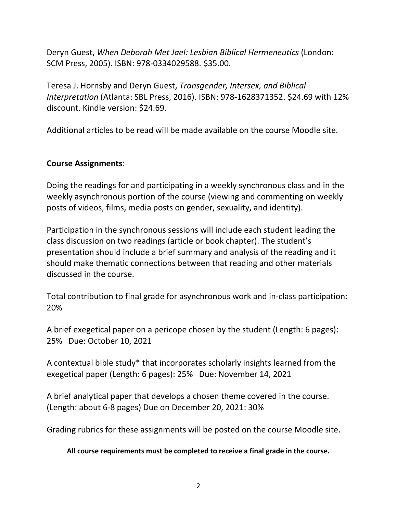Deryn Guest, *When Deborah Met Jael: Lesbian Biblical Hermeneutics* (London: SCM Press, 2005). ISBN: 978-0334029588. \$35.00.

Teresa J. Hornsby and Deryn Guest, *Transgender, Intersex, and Biblical Interpretation* (Atlanta: SBL Press, 2016). ISBN: 978-1628371352. \$24.69 with 12% discount. Kindle version: \$24.69.

Additional articles to be read will be made available on the course Moodle site.

#### **Course Assignments**:

Doing the readings for and participating in a weekly synchronous class and in the weekly asynchronous portion of the course (viewing and commenting on weekly posts of videos, films, media posts on gender, sexuality, and identity).

Participation in the synchronous sessions will include each student leading the class discussion on two readings (article or book chapter). The student's presentation should include a brief summary and analysis of the reading and it should make thematic connections between that reading and other materials discussed in the course.

Total contribution to final grade for asynchronous work and in-class participation: 20%

A brief exegetical paper on a pericope chosen by the student (Length: 6 pages): 25% Due: October 10, 2021

A contextual bible study\* that incorporates scholarly insights learned from the exegetical paper (Length: 6 pages): 25% Due: November 14, 2021

A brief analytical paper that develops a chosen theme covered in the course. (Length: about 6-8 pages) Due on December 20, 2021: 30%

Grading rubrics for these assignments will be posted on the course Moodle site.

**All course requirements must be completed to receive a final grade in the course.**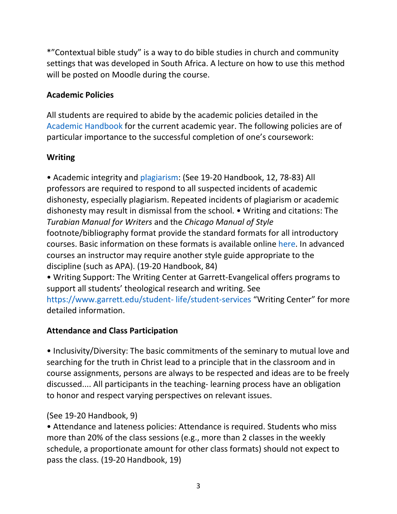\*"Contextual bible study" is a way to do bible studies in church and community settings that was developed in South Africa. A lecture on how to use this method will be posted on Moodle during the course.

# **Academic Policies**

All students are required to abide by the academic policies detailed in the Academic Handbook for the current academic year. The following policies are of particular importance to the successful completion of one's coursework:

# **Writing**

• Academic integrity and plagiarism: (See 19-20 Handbook, 12, 78-83) All professors are required to respond to all suspected incidents of academic dishonesty, especially plagiarism. Repeated incidents of plagiarism or academic dishonesty may result in dismissal from the school. • Writing and citations: The *Turabian Manual for Writers* and the *Chicago Manual of Style*  footnote/bibliography format provide the standard formats for all introductory courses. Basic information on these formats is available online here. In advanced courses an instructor may require another style guide appropriate to the discipline (such as APA). (19-20 Handbook, 84)

• Writing Support: The Writing Center at Garrett-Evangelical offers programs to support all students' theological research and writing. See

https://www.garrett.edu/student- life/student-services "Writing Center" for more detailed information.

# **Attendance and Class Participation**

• Inclusivity/Diversity: The basic commitments of the seminary to mutual love and searching for the truth in Christ lead to a principle that in the classroom and in course assignments, persons are always to be respected and ideas are to be freely discussed.... All participants in the teaching- learning process have an obligation to honor and respect varying perspectives on relevant issues.

# (See 19-20 Handbook, 9)

• Attendance and lateness policies: Attendance is required. Students who miss more than 20% of the class sessions (e.g., more than 2 classes in the weekly schedule, a proportionate amount for other class formats) should not expect to pass the class. (19-20 Handbook, 19)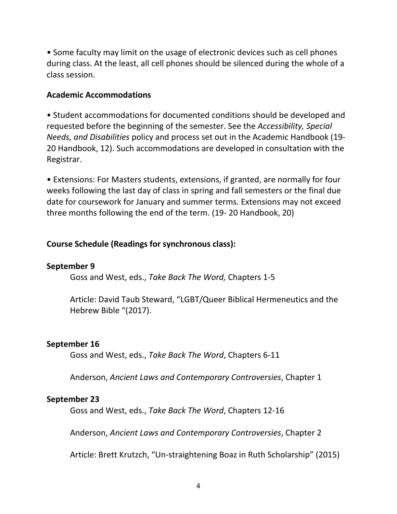• Some faculty may limit on the usage of electronic devices such as cell phones during class. At the least, all cell phones should be silenced during the whole of a class session.

#### **Academic Accommodations**

• Student accommodations for documented conditions should be developed and requested before the beginning of the semester. See the *Accessibility, Special Needs, and Disabilities* policy and process set out in the Academic Handbook (19- 20 Handbook, 12). Such accommodations are developed in consultation with the Registrar.

• Extensions: For Masters students, extensions, if granted, are normally for four weeks following the last day of class in spring and fall semesters or the final due date for coursework for January and summer terms. Extensions may not exceed three months following the end of the term. (19- 20 Handbook, 20)

### **Course Schedule (Readings for synchronous class):**

#### **September 9**

Goss and West, eds., *Take Back The Word,* Chapters 1-5

 Article: David Taub Steward, "LGBT/Queer Biblical Hermeneutics and the Hebrew Bible "(2017).

#### **September 16**

Goss and West, eds., *Take Back The Word*, Chapters 6-11

Anderson, *Ancient Laws and Contemporary Controversies*, Chapter 1

#### **September 23**

Goss and West, eds., *Take Back The Word*, Chapters 12-16

Anderson, *Ancient Laws and Contemporary Controversies*, Chapter 2

Article: Brett Krutzch, "Un-straightening Boaz in Ruth Scholarship" (2015)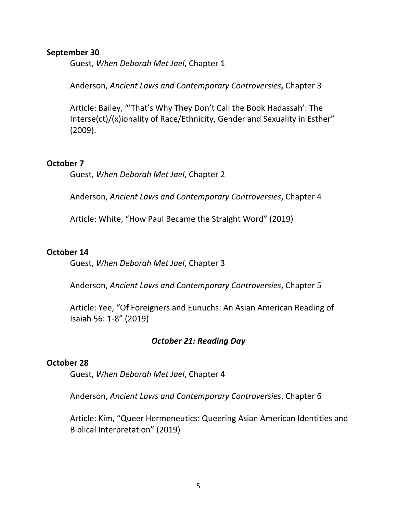#### **September 30**

Guest, *When Deborah Met Jael*, Chapter 1

Anderson, *Ancient Laws and Contemporary Controversies*, Chapter 3

 Article: Bailey, "'That's Why They Don't Call the Book Hadassah': The Interse(ct)/(x)ionality of Race/Ethnicity, Gender and Sexuality in Esther" (2009).

#### **October 7**

Guest, *When Deborah Met Jael*, Chapter 2

Anderson, *Ancient Laws and Contemporary Controversies*, Chapter 4

Article: White, "How Paul Became the Straight Word" (2019)

#### **October 14**

Guest, *When Deborah Met Jael*, Chapter 3

Anderson, *Ancient Laws and Contemporary Controversies*, Chapter 5

 Article: Yee, "Of Foreigners and Eunuchs: An Asian American Reading of Isaiah 56: 1-8" (2019)

#### *October 21: Reading Day*

#### **October 28**

Guest, *When Deborah Met Jael*, Chapter 4

Anderson, *Ancient Laws and Contemporary Controversies*, Chapter 6

Article: Kim, "Queer Hermeneutics: Queering Asian American Identities and Biblical Interpretation" (2019)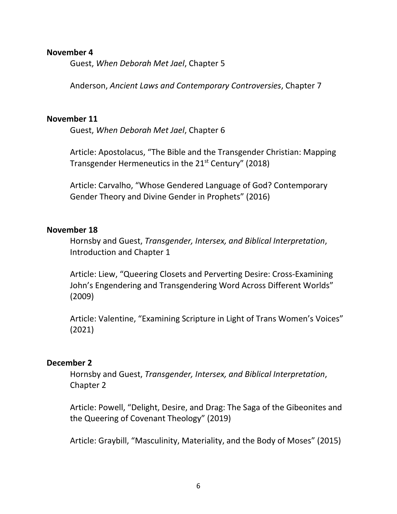#### **November 4**

Guest, *When Deborah Met Jael*, Chapter 5

Anderson, *Ancient Laws and Contemporary Controversies*, Chapter 7

#### **November 11**

Guest, *When Deborah Met Jael*, Chapter 6

 Article: Apostolacus, "The Bible and the Transgender Christian: Mapping Transgender Hermeneutics in the 21<sup>st</sup> Century" (2018)

 Article: Carvalho, "Whose Gendered Language of God? Contemporary Gender Theory and Divine Gender in Prophets" (2016)

#### **November 18**

 Hornsby and Guest, *Transgender, Intersex, and Biblical Interpretation*, Introduction and Chapter 1

 Article: Liew, "Queering Closets and Perverting Desire: Cross-Examining John's Engendering and Transgendering Word Across Different Worlds" (2009)

Article: Valentine, "Examining Scripture in Light of Trans Women's Voices" (2021)

#### **December 2**

 Hornsby and Guest, *Transgender, Intersex, and Biblical Interpretation*, Chapter 2

 Article: Powell, "Delight, Desire, and Drag: The Saga of the Gibeonites and the Queering of Covenant Theology" (2019)

Article: Graybill, "Masculinity, Materiality, and the Body of Moses" (2015)